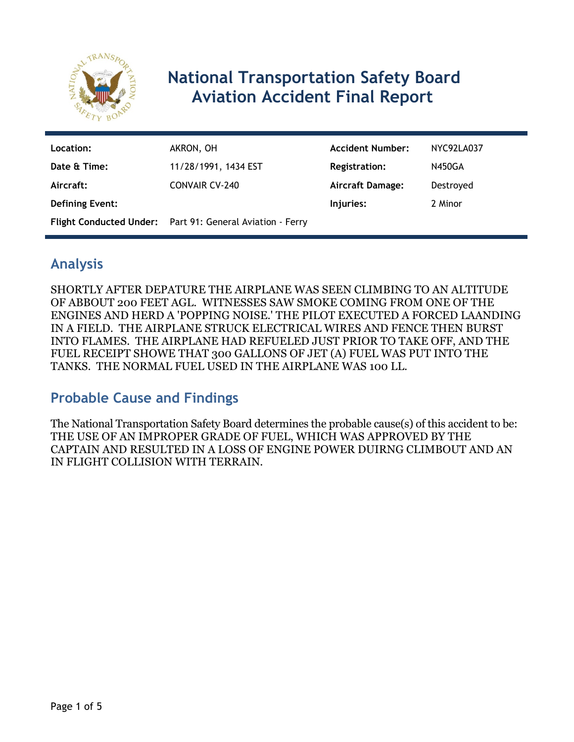

# **National Transportation Safety Board Aviation Accident Final Report**

| Location:              | AKRON, OH                                                 | <b>Accident Number:</b> | NYC92LA037    |
|------------------------|-----------------------------------------------------------|-------------------------|---------------|
| Date & Time:           | 11/28/1991, 1434 EST                                      | <b>Registration:</b>    | <b>N450GA</b> |
| Aircraft:              | <b>CONVAIR CV-240</b>                                     | <b>Aircraft Damage:</b> | Destroyed     |
| <b>Defining Event:</b> |                                                           | Injuries:               | 2 Minor       |
|                        | Flight Conducted Under: Part 91: General Aviation - Ferry |                         |               |

## **Analysis**

SHORTLY AFTER DEPATURE THE AIRPLANE WAS SEEN CLIMBING TO AN ALTITUDE OF ABBOUT 200 FEET AGL. WITNESSES SAW SMOKE COMING FROM ONE OF THE ENGINES AND HERD A 'POPPING NOISE.' THE PILOT EXECUTED A FORCED LAANDING IN A FIELD. THE AIRPLANE STRUCK ELECTRICAL WIRES AND FENCE THEN BURST INTO FLAMES. THE AIRPLANE HAD REFUELED JUST PRIOR TO TAKE OFF, AND THE FUEL RECEIPT SHOWE THAT 300 GALLONS OF JET (A) FUEL WAS PUT INTO THE TANKS. THE NORMAL FUEL USED IN THE AIRPLANE WAS 100 LL.

## **Probable Cause and Findings**

The National Transportation Safety Board determines the probable cause(s) of this accident to be: THE USE OF AN IMPROPER GRADE OF FUEL, WHICH WAS APPROVED BY THE CAPTAIN AND RESULTED IN A LOSS OF ENGINE POWER DUIRNG CLIMBOUT AND AN IN FLIGHT COLLISION WITH TERRAIN.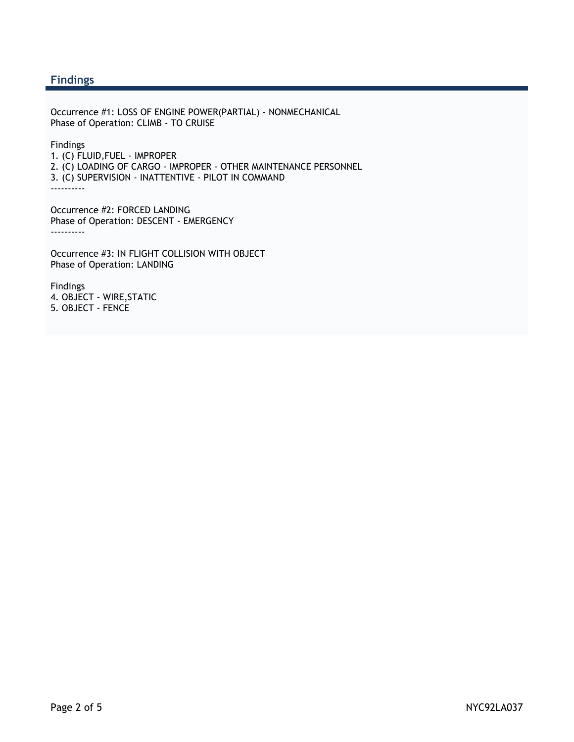#### **Findings**

Occurrence #1: LOSS OF ENGINE POWER(PARTIAL) - NONMECHANICAL Phase of Operation: CLIMB - TO CRUISE

Findings

- 1. (C) FLUID,FUEL IMPROPER
- 2. (C) LOADING OF CARGO IMPROPER OTHER MAINTENANCE PERSONNEL
- 3. (C) SUPERVISION INATTENTIVE PILOT IN COMMAND

----------

Occurrence #2: FORCED LANDING Phase of Operation: DESCENT - EMERGENCY ----------

Occurrence #3: IN FLIGHT COLLISION WITH OBJECT Phase of Operation: LANDING

Findings 4. OBJECT - WIRE,STATIC 5. OBJECT - FENCE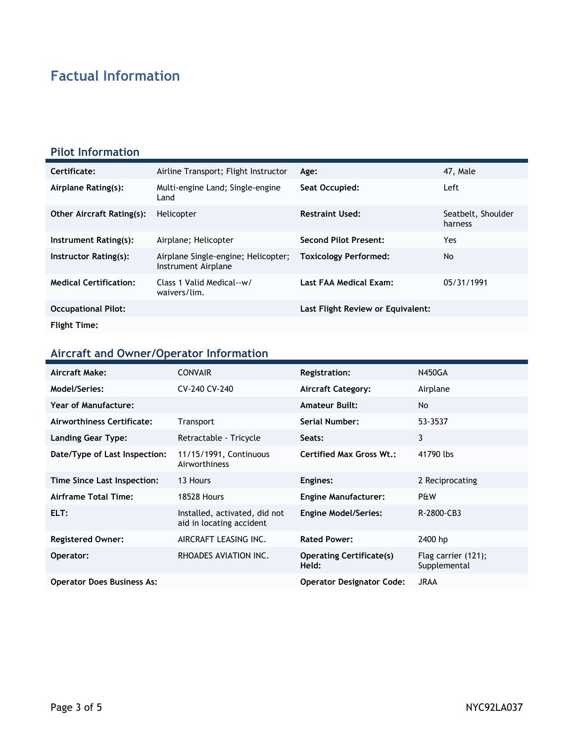# **Factual Information**

#### **Pilot Information**

| Certificate:                     | Airline Transport; Flight Instructor                       | Age:                              | 47, Male                      |
|----------------------------------|------------------------------------------------------------|-----------------------------------|-------------------------------|
| Airplane Rating(s):              | Multi-engine Land; Single-engine<br>Land                   | Seat Occupied:                    | Left                          |
| <b>Other Aircraft Rating(s):</b> | Helicopter                                                 | <b>Restraint Used:</b>            | Seatbelt, Shoulder<br>harness |
| Instrument Rating(s):            | Airplane; Helicopter                                       | Second Pilot Present:             | Yes                           |
| Instructor Rating(s):            | Airplane Single-engine; Helicopter;<br>Instrument Airplane | <b>Toxicology Performed:</b>      | No                            |
| <b>Medical Certification:</b>    | Class 1 Valid Medical--w/<br>waivers/lim.                  | Last FAA Medical Exam:            | 05/31/1991                    |
| <b>Occupational Pilot:</b>       |                                                            | Last Flight Review or Equivalent: |                               |
| <b>Flight Time:</b>              |                                                            |                                   |                               |

# **Aircraft and Owner/Operator Information**

| Aircraft Make:                    | <b>CONVAIR</b>                                            | <b>Registration:</b>                     | <b>N450GA</b>                       |
|-----------------------------------|-----------------------------------------------------------|------------------------------------------|-------------------------------------|
| Model/Series:                     | CV-240 CV-240                                             | <b>Aircraft Category:</b>                | Airplane                            |
| Year of Manufacture:              |                                                           | <b>Amateur Built:</b>                    | No.                                 |
| Airworthiness Certificate:        | Transport                                                 | Serial Number:                           | 53-3537                             |
| <b>Landing Gear Type:</b>         | Retractable - Tricycle                                    | Seats:                                   | 3                                   |
| Date/Type of Last Inspection:     | 11/15/1991, Continuous<br>Airworthiness                   | <b>Certified Max Gross Wt.:</b>          | 41790 lbs                           |
| Time Since Last Inspection:       | 13 Hours                                                  | Engines:                                 | 2 Reciprocating                     |
| Airframe Total Time:              | <b>18528 Hours</b>                                        | <b>Engine Manufacturer:</b>              | P&W                                 |
| ELT:                              | Installed, activated, did not<br>aid in locating accident | <b>Engine Model/Series:</b>              | R-2800-CB3                          |
| <b>Registered Owner:</b>          | AIRCRAFT LEASING INC.                                     | <b>Rated Power:</b>                      | 2400 hp                             |
| Operator:                         | RHOADES AVIATION INC.                                     | <b>Operating Certificate(s)</b><br>Held: | Flag carrier (121);<br>Supplemental |
| <b>Operator Does Business As:</b> |                                                           | <b>Operator Designator Code:</b>         | <b>JRAA</b>                         |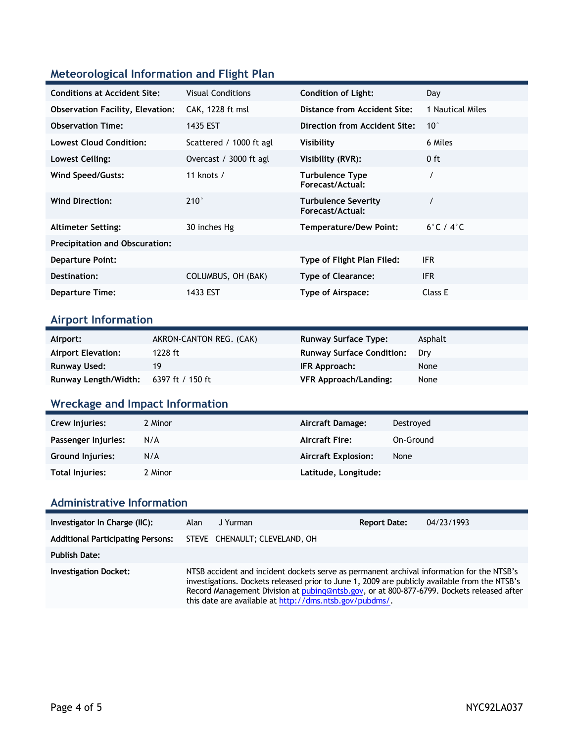### **Meteorological Information and Flight Plan**

| <b>Conditions at Accident Site:</b>     | <b>Visual Conditions</b> | <b>Condition of Light:</b>                 | Day                       |
|-----------------------------------------|--------------------------|--------------------------------------------|---------------------------|
| <b>Observation Facility, Elevation:</b> | CAK, 1228 ft msl         | Distance from Accident Site:               | 1 Nautical Miles          |
| <b>Observation Time:</b>                | 1435 EST                 | Direction from Accident Site:              | $10^{\circ}$              |
| <b>Lowest Cloud Condition:</b>          | Scattered / 1000 ft agl  | Visibility                                 | 6 Miles                   |
| Lowest Ceiling:                         | Overcast / 3000 ft agl   | Visibility (RVR):                          | $0$ ft                    |
| Wind Speed/Gusts:                       | 11 knots $/$             | <b>Turbulence Type</b><br>Forecast/Actual: |                           |
| <b>Wind Direction:</b>                  | $210^\circ$              | Turbulence Severity<br>Forecast/Actual:    |                           |
| <b>Altimeter Setting:</b>               | 30 inches Hg             | <b>Temperature/Dew Point:</b>              | $6^\circ$ C / $4^\circ$ C |
| <b>Precipitation and Obscuration:</b>   |                          |                                            |                           |
| <b>Departure Point:</b>                 |                          | Type of Flight Plan Filed:                 | IFR.                      |
| Destination:                            | COLUMBUS, OH (BAK)       | <b>Type of Clearance:</b>                  | <b>IFR</b>                |
| <b>Departure Time:</b>                  | 1433 EST                 | Type of Airspace:                          | Class E                   |

### **Airport Information**

| Airport:                  | AKRON-CANTON REG. (CAK) | <b>Runway Surface Type:</b>      | Asphalt |
|---------------------------|-------------------------|----------------------------------|---------|
| <b>Airport Elevation:</b> | 1228 ft                 | <b>Runway Surface Condition:</b> | Drv     |
| <b>Runway Used:</b>       | 19                      | IFR Approach:                    | None    |
| Runway Length/Width:      | 6397 ft / 150 ft        | <b>VFR Approach/Landing:</b>     | None    |

# **Wreckage and Impact Information**

| Crew Injuries:      | 2 Minor | Aircraft Damage:           | Destroved |
|---------------------|---------|----------------------------|-----------|
| Passenger Injuries: | N/A     | <b>Aircraft Fire:</b>      | On-Ground |
| Ground Injuries:    | N/A     | <b>Aircraft Explosion:</b> | None      |
| Total Injuries:     | 2 Minor | Latitude, Longitude:       |           |

### **Administrative Information**

| Investigator In Charge (IIC):            | Alan                                                                                                                                                                                                                                                                                                                                               | J Yurman                      | <b>Report Date:</b> | 04/23/1993 |
|------------------------------------------|----------------------------------------------------------------------------------------------------------------------------------------------------------------------------------------------------------------------------------------------------------------------------------------------------------------------------------------------------|-------------------------------|---------------------|------------|
| <b>Additional Participating Persons:</b> |                                                                                                                                                                                                                                                                                                                                                    | STEVE CHENAULT; CLEVELAND, OH |                     |            |
| <b>Publish Date:</b>                     |                                                                                                                                                                                                                                                                                                                                                    |                               |                     |            |
| <b>Investigation Docket:</b>             | NTSB accident and incident dockets serve as permanent archival information for the NTSB's<br>investigations. Dockets released prior to June 1, 2009 are publicly available from the NTSB's<br>Record Management Division at pubing@ntsb.gov, or at 800-877-6799. Dockets released after<br>this date are available at http://dms.ntsb.gov/pubdms/. |                               |                     |            |